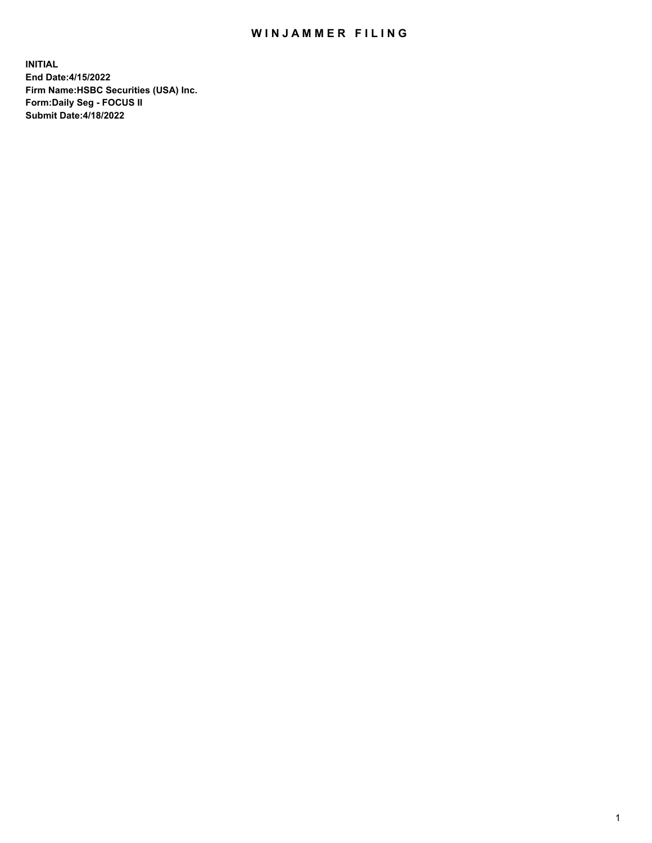## WIN JAMMER FILING

**INITIAL End Date:4/15/2022 Firm Name:HSBC Securities (USA) Inc. Form:Daily Seg - FOCUS II Submit Date:4/18/2022**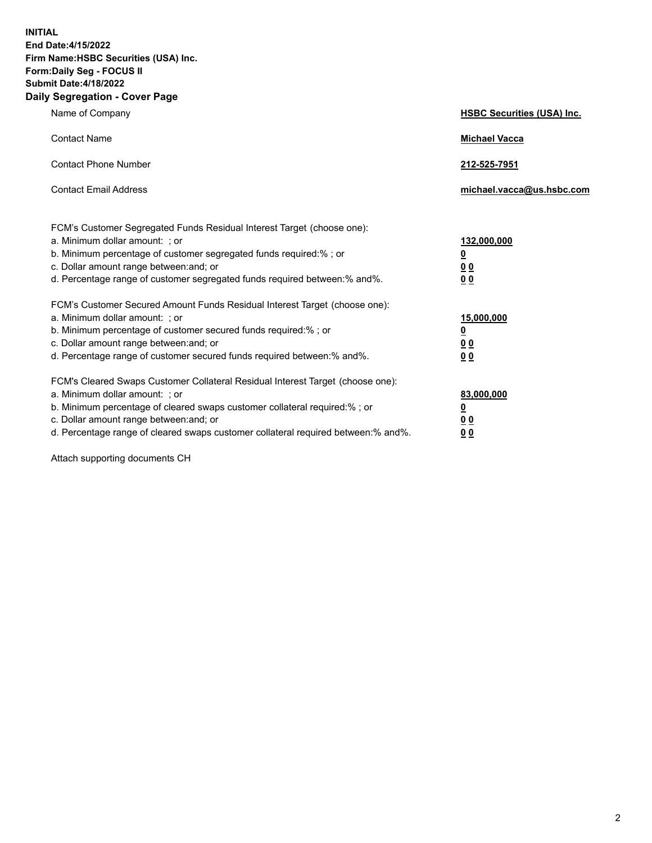**INITIAL End Date:4/15/2022 Firm Name:HSBC Securities (USA) Inc. Form:Daily Seg - FOCUS II Submit Date:4/18/2022 Daily Segregation - Cover Page**

| Name of Company                                                                                                                                                                                                                                                                                                                | <b>HSBC Securities (USA) Inc.</b>                          |
|--------------------------------------------------------------------------------------------------------------------------------------------------------------------------------------------------------------------------------------------------------------------------------------------------------------------------------|------------------------------------------------------------|
| <b>Contact Name</b>                                                                                                                                                                                                                                                                                                            | <b>Michael Vacca</b>                                       |
| <b>Contact Phone Number</b>                                                                                                                                                                                                                                                                                                    | 212-525-7951                                               |
| <b>Contact Email Address</b>                                                                                                                                                                                                                                                                                                   | michael.vacca@us.hsbc.com                                  |
| FCM's Customer Segregated Funds Residual Interest Target (choose one):<br>a. Minimum dollar amount: ; or<br>b. Minimum percentage of customer segregated funds required:%; or<br>c. Dollar amount range between: and; or<br>d. Percentage range of customer segregated funds required between: % and %.                        | 132,000,000<br><u>0</u><br>00<br>0 <sub>0</sub>            |
| FCM's Customer Secured Amount Funds Residual Interest Target (choose one):<br>a. Minimum dollar amount: ; or<br>b. Minimum percentage of customer secured funds required:%; or<br>c. Dollar amount range between: and; or<br>d. Percentage range of customer secured funds required between: % and %.                          | 15,000,000<br><u>0</u><br>0 <sub>0</sub><br>0 <sub>0</sub> |
| FCM's Cleared Swaps Customer Collateral Residual Interest Target (choose one):<br>a. Minimum dollar amount: ; or<br>b. Minimum percentage of cleared swaps customer collateral required:% ; or<br>c. Dollar amount range between: and; or<br>d. Percentage range of cleared swaps customer collateral required between:% and%. | 83,000,000<br><u>0</u><br><u>00</u><br>00                  |

Attach supporting documents CH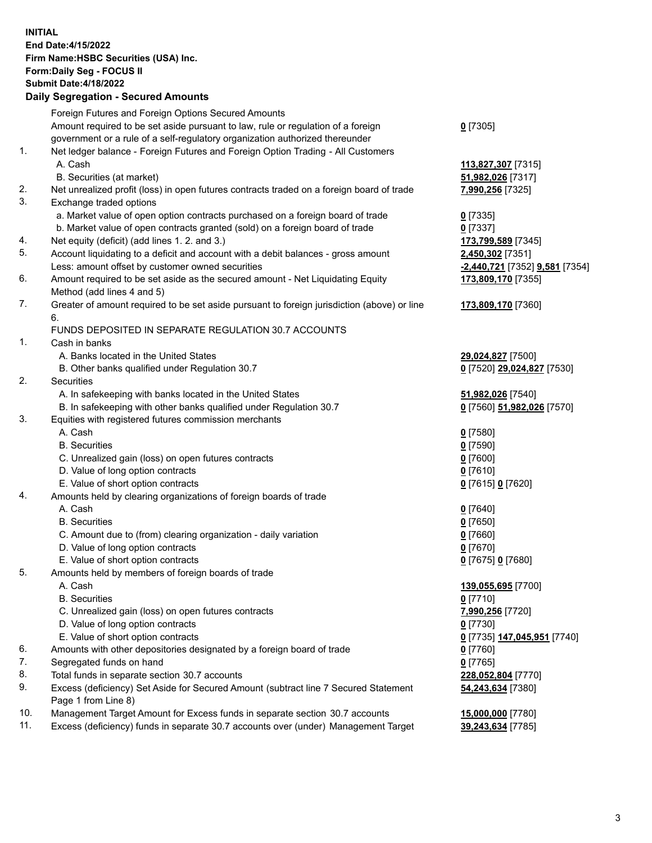**INITIAL End Date:4/15/2022 Firm Name:HSBC Securities (USA) Inc. Form:Daily Seg - FOCUS II Submit Date:4/18/2022 Daily Segregation - Secured Amounts** Foreign Futures and Foreign Options Secured Amounts

|     | r orașii r utares anu r orașii Options occureu Amounts                                      |                                                   |
|-----|---------------------------------------------------------------------------------------------|---------------------------------------------------|
|     | Amount required to be set aside pursuant to law, rule or regulation of a foreign            | $0$ [7305]                                        |
|     | government or a rule of a self-regulatory organization authorized thereunder                |                                                   |
| 1.  | Net ledger balance - Foreign Futures and Foreign Option Trading - All Customers             |                                                   |
|     | A. Cash                                                                                     | 113,827,307 [7315]                                |
|     | B. Securities (at market)                                                                   | 51,982,026 [7317]                                 |
| 2.  | Net unrealized profit (loss) in open futures contracts traded on a foreign board of trade   |                                                   |
|     |                                                                                             | 7,990,256 [7325]                                  |
| 3.  | Exchange traded options                                                                     |                                                   |
|     | a. Market value of open option contracts purchased on a foreign board of trade              | $0$ [7335]                                        |
|     | b. Market value of open contracts granted (sold) on a foreign board of trade                | $0$ [7337]                                        |
| 4.  | Net equity (deficit) (add lines 1.2. and 3.)                                                | 173,799,589 [7345]                                |
| 5.  | Account liquidating to a deficit and account with a debit balances - gross amount           | 2,450,302 [7351]                                  |
|     | Less: amount offset by customer owned securities                                            | -2,440,721 [7352] 9,581 [7354]                    |
| 6.  | Amount required to be set aside as the secured amount - Net Liquidating Equity              | 173,809,170 [7355]                                |
|     | Method (add lines 4 and 5)                                                                  |                                                   |
| 7.  | Greater of amount required to be set aside pursuant to foreign jurisdiction (above) or line | 173,809,170 [7360]                                |
|     | 6.                                                                                          |                                                   |
|     | FUNDS DEPOSITED IN SEPARATE REGULATION 30.7 ACCOUNTS                                        |                                                   |
| 1.  | Cash in banks                                                                               |                                                   |
|     | A. Banks located in the United States                                                       | 29,024,827 [7500]                                 |
|     | B. Other banks qualified under Regulation 30.7                                              | 0 [7520] 29,024,827 [7530]                        |
| 2.  | Securities                                                                                  |                                                   |
|     | A. In safekeeping with banks located in the United States                                   | 51,982,026 [7540]                                 |
|     | B. In safekeeping with other banks qualified under Regulation 30.7                          | 0 [7560] 51,982,026 [7570]                        |
| 3.  | Equities with registered futures commission merchants                                       |                                                   |
|     |                                                                                             |                                                   |
|     | A. Cash                                                                                     | $0$ [7580]                                        |
|     | <b>B.</b> Securities                                                                        | $0$ [7590]                                        |
|     | C. Unrealized gain (loss) on open futures contracts                                         | $0$ [7600]                                        |
|     | D. Value of long option contracts                                                           | $0$ [7610]                                        |
|     | E. Value of short option contracts                                                          | 0 [7615] 0 [7620]                                 |
| 4.  | Amounts held by clearing organizations of foreign boards of trade                           |                                                   |
|     | A. Cash                                                                                     | $0$ [7640]                                        |
|     | <b>B.</b> Securities                                                                        | $0$ [7650]                                        |
|     | C. Amount due to (from) clearing organization - daily variation                             | $0$ [7660]                                        |
|     | D. Value of long option contracts                                                           | $0$ [7670]                                        |
|     | E. Value of short option contracts                                                          | 0 [7675] 0 [7680]                                 |
| 5.  | Amounts held by members of foreign boards of trade                                          |                                                   |
|     | A. Cash                                                                                     | 139,055,695 [7700]                                |
|     | <b>B.</b> Securities                                                                        | $0$ [7710]                                        |
|     | C. Unrealized gain (loss) on open futures contracts                                         | 7,990,256 [7720]                                  |
|     | D. Value of long option contracts                                                           | $0$ [7730]                                        |
|     | E. Value of short option contracts                                                          | 0 <sup>[7735]</sup> 147,045,951 <sup>[7740]</sup> |
| 6.  | Amounts with other depositories designated by a foreign board of trade                      | $0$ [7760]                                        |
| 7.  | Segregated funds on hand                                                                    | $0$ [7765]                                        |
| 8.  |                                                                                             |                                                   |
| 9.  | Total funds in separate section 30.7 accounts                                               | 228,052,804 [7770]                                |
|     | Excess (deficiency) Set Aside for Secured Amount (subtract line 7 Secured Statement         | 54,243,634 [7380]                                 |
|     | Page 1 from Line 8)                                                                         |                                                   |
| 10. | Management Target Amount for Excess funds in separate section 30.7 accounts                 | 15,000,000 [7780]                                 |
| 11. | Excess (deficiency) funds in separate 30.7 accounts over (under) Management Target          | 39,243,634 [7785]                                 |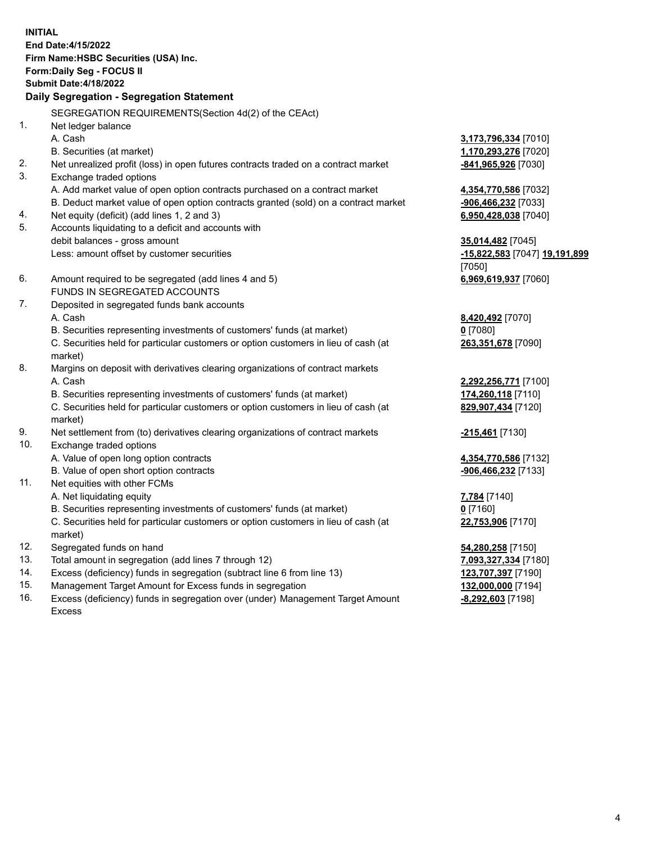**INITIAL End Date:4/15/2022 Firm Name:HSBC Securities (USA) Inc. Form:Daily Seg - FOCUS II Submit Date:4/18/2022 Daily Segregation - Segregation Statement** SEGREGATION REQUIREMENTS(Section 4d(2) of the CEAct) 1. Net ledger balance A. Cash **3,173,796,334** [7010] B. Securities (at market) **1,170,293,276** [7020] 2. Net unrealized profit (loss) in open futures contracts traded on a contract market **-841,965,926** [7030] 3. Exchange traded options A. Add market value of open option contracts purchased on a contract market **4,354,770,586** [7032] B. Deduct market value of open option contracts granted (sold) on a contract market **-906,466,232** [7033] 4. Net equity (deficit) (add lines 1, 2 and 3) **6,950,428,038** [7040] 5. Accounts liquidating to a deficit and accounts with debit balances - gross amount **35,014,482** [7045] Less: amount offset by customer securities **-15,822,583** [7047] **19,191,899** [7050] 6. Amount required to be segregated (add lines 4 and 5) **6,969,619,937** [7060] FUNDS IN SEGREGATED ACCOUNTS 7. Deposited in segregated funds bank accounts A. Cash **8,420,492** [7070] B. Securities representing investments of customers' funds (at market) **0** [7080] C. Securities held for particular customers or option customers in lieu of cash (at market) **263,351,678** [7090] 8. Margins on deposit with derivatives clearing organizations of contract markets A. Cash **2,292,256,771** [7100] B. Securities representing investments of customers' funds (at market) **174,260,118** [7110] C. Securities held for particular customers or option customers in lieu of cash (at market) **829,907,434** [7120] 9. Net settlement from (to) derivatives clearing organizations of contract markets **-215,461** [7130] 10. Exchange traded options A. Value of open long option contracts **4,354,770,586** [7132] B. Value of open short option contracts **-906,466,232** [7133] 11. Net equities with other FCMs A. Net liquidating equity **7,784** [7140] B. Securities representing investments of customers' funds (at market) **0** [7160] C. Securities held for particular customers or option customers in lieu of cash (at market) **22,753,906** [7170] 12. Segregated funds on hand **54,280,258** [7150] 13. Total amount in segregation (add lines 7 through 12) **7,093,327,334** [7180] 14. Excess (deficiency) funds in segregation (subtract line 6 from line 13) **123,707,397** [7190] 15. Management Target Amount for Excess funds in segregation **132,000,000** [7194]

16. Excess (deficiency) funds in segregation over (under) Management Target Amount Excess

**-8,292,603** [7198]